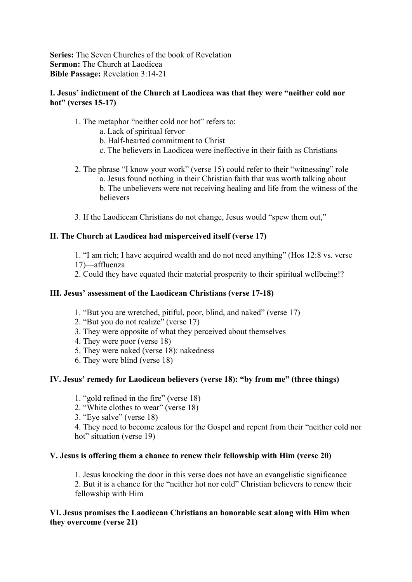**Series:** The Seven Churches of the book of Revelation **Sermon:** The Church at Laodicea **Bible Passage:** Revelation 3:14-21

## **I. Jesus' indictment of the Church at Laodicea was that they were "neither cold nor hot" (verses 15-17)**

- 1. The metaphor "neither cold nor hot" refers to:
	- a. Lack of spiritual fervor
	- b. Half-hearted commitment to Christ
	- c. The believers in Laodicea were ineffective in their faith as Christians
- 2. The phrase "I know your work" (verse 15) could refer to their "witnessing" role a. Jesus found nothing in their Christian faith that was worth talking about b. The unbelievers were not receiving healing and life from the witness of the believers
- 3. If the Laodicean Christians do not change, Jesus would "spew them out,"

#### **II. The Church at Laodicea had misperceived itself (verse 17)**

- 1. "I am rich; I have acquired wealth and do not need anything" (Hos 12:8 vs. verse 17)—affluenza
- 2. Could they have equated their material prosperity to their spiritual wellbeing!?

## **III. Jesus' assessment of the Laodicean Christians (verse 17-18)**

- 1. "But you are wretched, pitiful, poor, blind, and naked" (verse 17)
- 2. "But you do not realize" (verse 17)
- 3. They were opposite of what they perceived about themselves
- 4. They were poor (verse 18)
- 5. They were naked (verse 18): nakedness
- 6. They were blind (verse 18)

# **IV. Jesus' remedy for Laodicean believers (verse 18): "by from me" (three things)**

- 1. "gold refined in the fire" (verse 18)
- 2. "White clothes to wear" (verse 18)
- 3. "Eye salve" (verse 18)

4. They need to become zealous for the Gospel and repent from their "neither cold nor hot" situation (verse 19)

#### **V. Jesus is offering them a chance to renew their fellowship with Him (verse 20)**

1. Jesus knocking the door in this verse does not have an evangelistic significance 2. But it is a chance for the "neither hot nor cold" Christian believers to renew their fellowship with Him

#### **VI. Jesus promises the Laodicean Christians an honorable seat along with Him when they overcome (verse 21)**